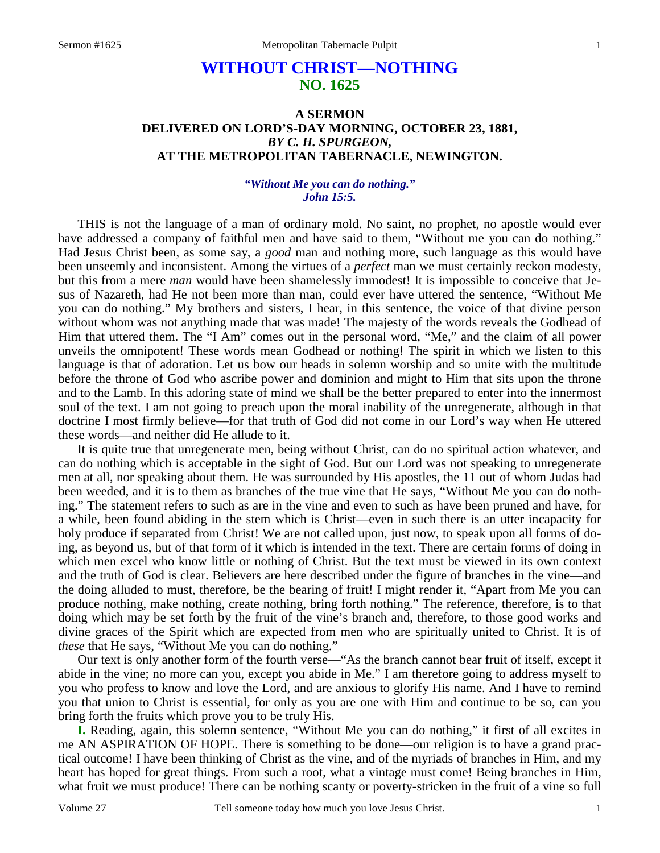## **WITHOUT CHRIST—NOTHING NO. 1625**

## **A SERMON DELIVERED ON LORD'S-DAY MORNING, OCTOBER 23, 1881,**  *BY C. H. SPURGEON,*  **AT THE METROPOLITAN TABERNACLE, NEWINGTON.**

## *"Without Me you can do nothing." John 15:5.*

THIS is not the language of a man of ordinary mold. No saint, no prophet, no apostle would ever have addressed a company of faithful men and have said to them, "Without me you can do nothing." Had Jesus Christ been, as some say, a *good* man and nothing more, such language as this would have been unseemly and inconsistent. Among the virtues of a *perfect* man we must certainly reckon modesty, but this from a mere *man* would have been shamelessly immodest! It is impossible to conceive that Jesus of Nazareth, had He not been more than man, could ever have uttered the sentence, "Without Me you can do nothing." My brothers and sisters, I hear, in this sentence, the voice of that divine person without whom was not anything made that was made! The majesty of the words reveals the Godhead of Him that uttered them. The "I Am" comes out in the personal word, "Me," and the claim of all power unveils the omnipotent! These words mean Godhead or nothing! The spirit in which we listen to this language is that of adoration. Let us bow our heads in solemn worship and so unite with the multitude before the throne of God who ascribe power and dominion and might to Him that sits upon the throne and to the Lamb. In this adoring state of mind we shall be the better prepared to enter into the innermost soul of the text. I am not going to preach upon the moral inability of the unregenerate, although in that doctrine I most firmly believe—for that truth of God did not come in our Lord's way when He uttered these words—and neither did He allude to it.

 It is quite true that unregenerate men, being without Christ, can do no spiritual action whatever, and can do nothing which is acceptable in the sight of God. But our Lord was not speaking to unregenerate men at all, nor speaking about them. He was surrounded by His apostles, the 11 out of whom Judas had been weeded, and it is to them as branches of the true vine that He says, "Without Me you can do nothing." The statement refers to such as are in the vine and even to such as have been pruned and have, for a while, been found abiding in the stem which is Christ—even in such there is an utter incapacity for holy produce if separated from Christ! We are not called upon, just now, to speak upon all forms of doing, as beyond us, but of that form of it which is intended in the text. There are certain forms of doing in which men excel who know little or nothing of Christ. But the text must be viewed in its own context and the truth of God is clear. Believers are here described under the figure of branches in the vine—and the doing alluded to must, therefore, be the bearing of fruit! I might render it, "Apart from Me you can produce nothing, make nothing, create nothing, bring forth nothing." The reference, therefore, is to that doing which may be set forth by the fruit of the vine's branch and, therefore, to those good works and divine graces of the Spirit which are expected from men who are spiritually united to Christ. It is of *these* that He says, "Without Me you can do nothing."

 Our text is only another form of the fourth verse—"As the branch cannot bear fruit of itself, except it abide in the vine; no more can you, except you abide in Me." I am therefore going to address myself to you who profess to know and love the Lord, and are anxious to glorify His name. And I have to remind you that union to Christ is essential, for only as you are one with Him and continue to be so, can you bring forth the fruits which prove you to be truly His.

**I.** Reading, again, this solemn sentence, "Without Me you can do nothing," it first of all excites in me AN ASPIRATION OF HOPE. There is something to be done—our religion is to have a grand practical outcome! I have been thinking of Christ as the vine, and of the myriads of branches in Him, and my heart has hoped for great things. From such a root, what a vintage must come! Being branches in Him, what fruit we must produce! There can be nothing scanty or poverty-stricken in the fruit of a vine so full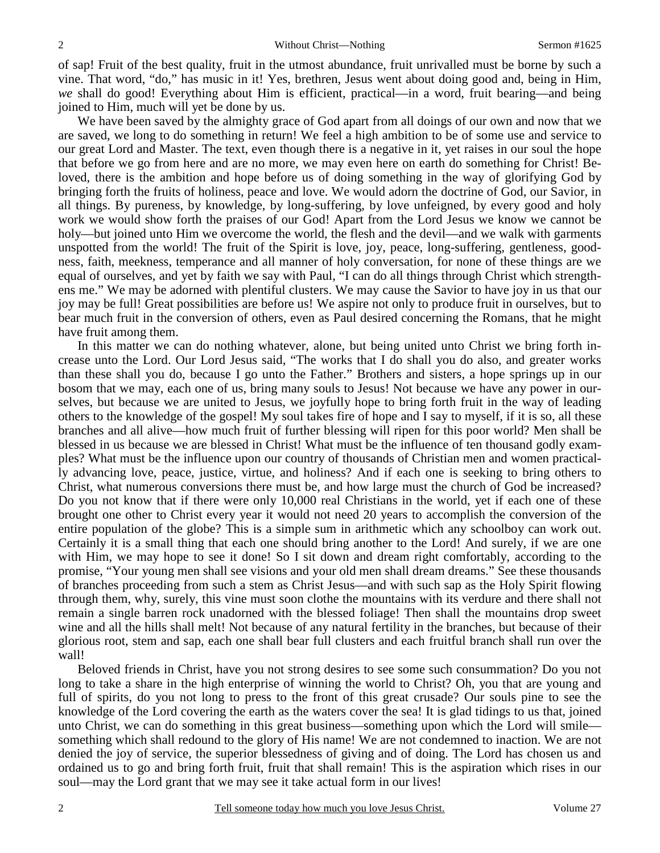of sap! Fruit of the best quality, fruit in the utmost abundance, fruit unrivalled must be borne by such a vine. That word, "do," has music in it! Yes, brethren, Jesus went about doing good and, being in Him, *we* shall do good! Everything about Him is efficient, practical—in a word, fruit bearing—and being joined to Him, much will yet be done by us.

 We have been saved by the almighty grace of God apart from all doings of our own and now that we are saved, we long to do something in return! We feel a high ambition to be of some use and service to our great Lord and Master. The text, even though there is a negative in it, yet raises in our soul the hope that before we go from here and are no more, we may even here on earth do something for Christ! Beloved, there is the ambition and hope before us of doing something in the way of glorifying God by bringing forth the fruits of holiness, peace and love. We would adorn the doctrine of God, our Savior, in all things. By pureness, by knowledge, by long-suffering, by love unfeigned, by every good and holy work we would show forth the praises of our God! Apart from the Lord Jesus we know we cannot be holy—but joined unto Him we overcome the world, the flesh and the devil—and we walk with garments unspotted from the world! The fruit of the Spirit is love, joy, peace, long-suffering, gentleness, goodness, faith, meekness, temperance and all manner of holy conversation, for none of these things are we equal of ourselves, and yet by faith we say with Paul, "I can do all things through Christ which strengthens me." We may be adorned with plentiful clusters. We may cause the Savior to have joy in us that our joy may be full! Great possibilities are before us! We aspire not only to produce fruit in ourselves, but to bear much fruit in the conversion of others, even as Paul desired concerning the Romans, that he might have fruit among them.

 In this matter we can do nothing whatever, alone, but being united unto Christ we bring forth increase unto the Lord. Our Lord Jesus said, "The works that I do shall you do also, and greater works than these shall you do, because I go unto the Father." Brothers and sisters, a hope springs up in our bosom that we may, each one of us, bring many souls to Jesus! Not because we have any power in ourselves, but because we are united to Jesus, we joyfully hope to bring forth fruit in the way of leading others to the knowledge of the gospel! My soul takes fire of hope and I say to myself, if it is so, all these branches and all alive—how much fruit of further blessing will ripen for this poor world? Men shall be blessed in us because we are blessed in Christ! What must be the influence of ten thousand godly examples? What must be the influence upon our country of thousands of Christian men and women practically advancing love, peace, justice, virtue, and holiness? And if each one is seeking to bring others to Christ, what numerous conversions there must be, and how large must the church of God be increased? Do you not know that if there were only 10,000 real Christians in the world, yet if each one of these brought one other to Christ every year it would not need 20 years to accomplish the conversion of the entire population of the globe? This is a simple sum in arithmetic which any schoolboy can work out. Certainly it is a small thing that each one should bring another to the Lord! And surely, if we are one with Him, we may hope to see it done! So I sit down and dream right comfortably, according to the promise, "Your young men shall see visions and your old men shall dream dreams." See these thousands of branches proceeding from such a stem as Christ Jesus—and with such sap as the Holy Spirit flowing through them, why, surely, this vine must soon clothe the mountains with its verdure and there shall not remain a single barren rock unadorned with the blessed foliage! Then shall the mountains drop sweet wine and all the hills shall melt! Not because of any natural fertility in the branches, but because of their glorious root, stem and sap, each one shall bear full clusters and each fruitful branch shall run over the wall!

 Beloved friends in Christ, have you not strong desires to see some such consummation? Do you not long to take a share in the high enterprise of winning the world to Christ? Oh, you that are young and full of spirits, do you not long to press to the front of this great crusade? Our souls pine to see the knowledge of the Lord covering the earth as the waters cover the sea! It is glad tidings to us that, joined unto Christ, we can do something in this great business—something upon which the Lord will smile something which shall redound to the glory of His name! We are not condemned to inaction. We are not denied the joy of service, the superior blessedness of giving and of doing. The Lord has chosen us and ordained us to go and bring forth fruit, fruit that shall remain! This is the aspiration which rises in our soul—may the Lord grant that we may see it take actual form in our lives!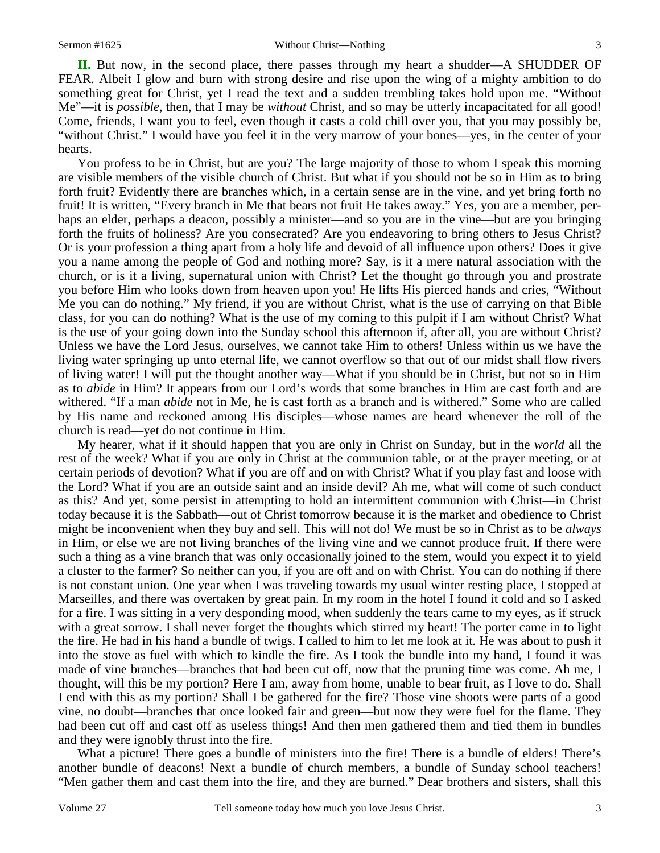**II.** But now, in the second place, there passes through my heart a shudder—A SHUDDER OF FEAR. Albeit I glow and burn with strong desire and rise upon the wing of a mighty ambition to do something great for Christ, yet I read the text and a sudden trembling takes hold upon me. "Without Me"—it is *possible*, then, that I may be *without* Christ, and so may be utterly incapacitated for all good! Come, friends, I want you to feel, even though it casts a cold chill over you, that you may possibly be, "without Christ." I would have you feel it in the very marrow of your bones—yes, in the center of your hearts.

 You profess to be in Christ, but are you? The large majority of those to whom I speak this morning are visible members of the visible church of Christ. But what if you should not be so in Him as to bring forth fruit? Evidently there are branches which, in a certain sense are in the vine, and yet bring forth no fruit! It is written, "Every branch in Me that bears not fruit He takes away." Yes, you are a member, perhaps an elder, perhaps a deacon, possibly a minister—and so you are in the vine—but are you bringing forth the fruits of holiness? Are you consecrated? Are you endeavoring to bring others to Jesus Christ? Or is your profession a thing apart from a holy life and devoid of all influence upon others? Does it give you a name among the people of God and nothing more? Say, is it a mere natural association with the church, or is it a living, supernatural union with Christ? Let the thought go through you and prostrate you before Him who looks down from heaven upon you! He lifts His pierced hands and cries, "Without Me you can do nothing." My friend, if you are without Christ, what is the use of carrying on that Bible class, for you can do nothing? What is the use of my coming to this pulpit if I am without Christ? What is the use of your going down into the Sunday school this afternoon if, after all, you are without Christ? Unless we have the Lord Jesus, ourselves, we cannot take Him to others! Unless within us we have the living water springing up unto eternal life, we cannot overflow so that out of our midst shall flow rivers of living water! I will put the thought another way—What if you should be in Christ, but not so in Him as to *abide* in Him? It appears from our Lord's words that some branches in Him are cast forth and are withered. "If a man *abide* not in Me, he is cast forth as a branch and is withered." Some who are called by His name and reckoned among His disciples—whose names are heard whenever the roll of the church is read—yet do not continue in Him.

 My hearer, what if it should happen that you are only in Christ on Sunday, but in the *world* all the rest of the week? What if you are only in Christ at the communion table, or at the prayer meeting, or at certain periods of devotion? What if you are off and on with Christ? What if you play fast and loose with the Lord? What if you are an outside saint and an inside devil? Ah me, what will come of such conduct as this? And yet, some persist in attempting to hold an intermittent communion with Christ—in Christ today because it is the Sabbath—out of Christ tomorrow because it is the market and obedience to Christ might be inconvenient when they buy and sell. This will not do! We must be so in Christ as to be *always* in Him, or else we are not living branches of the living vine and we cannot produce fruit. If there were such a thing as a vine branch that was only occasionally joined to the stem, would you expect it to yield a cluster to the farmer? So neither can you, if you are off and on with Christ. You can do nothing if there is not constant union. One year when I was traveling towards my usual winter resting place, I stopped at Marseilles, and there was overtaken by great pain. In my room in the hotel I found it cold and so I asked for a fire. I was sitting in a very desponding mood, when suddenly the tears came to my eyes, as if struck with a great sorrow. I shall never forget the thoughts which stirred my heart! The porter came in to light the fire. He had in his hand a bundle of twigs. I called to him to let me look at it. He was about to push it into the stove as fuel with which to kindle the fire. As I took the bundle into my hand, I found it was made of vine branches—branches that had been cut off, now that the pruning time was come. Ah me, I thought, will this be my portion? Here I am, away from home, unable to bear fruit, as I love to do. Shall I end with this as my portion? Shall I be gathered for the fire? Those vine shoots were parts of a good vine, no doubt—branches that once looked fair and green—but now they were fuel for the flame. They had been cut off and cast off as useless things! And then men gathered them and tied them in bundles and they were ignobly thrust into the fire.

 What a picture! There goes a bundle of ministers into the fire! There is a bundle of elders! There's another bundle of deacons! Next a bundle of church members, a bundle of Sunday school teachers! "Men gather them and cast them into the fire, and they are burned." Dear brothers and sisters, shall this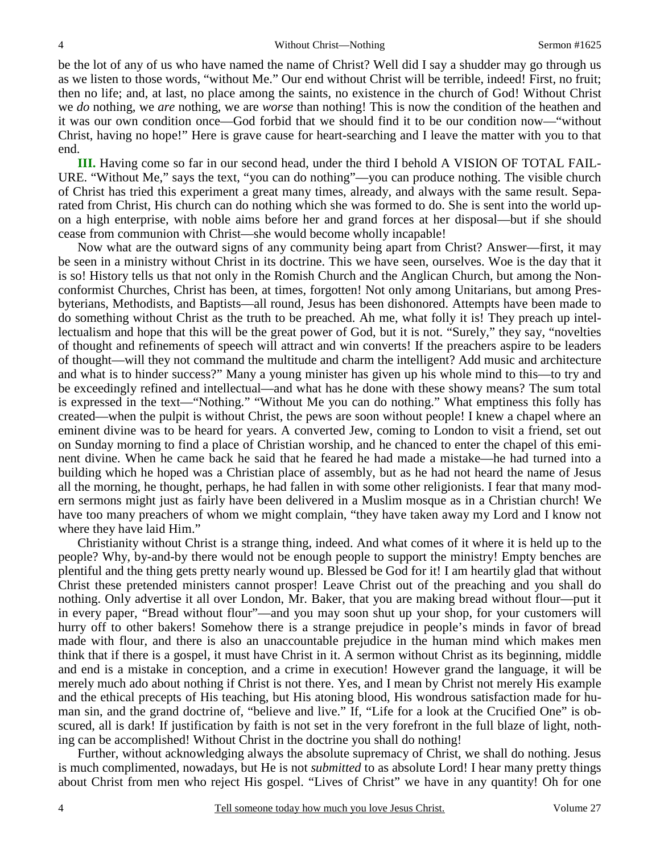be the lot of any of us who have named the name of Christ? Well did I say a shudder may go through us as we listen to those words, "without Me." Our end without Christ will be terrible, indeed! First, no fruit; then no life; and, at last, no place among the saints, no existence in the church of God! Without Christ we *do* nothing, we *are* nothing, we are *worse* than nothing! This is now the condition of the heathen and it was our own condition once—God forbid that we should find it to be our condition now—"without Christ, having no hope!" Here is grave cause for heart-searching and I leave the matter with you to that end.

**III.** Having come so far in our second head, under the third I behold A VISION OF TOTAL FAIL-URE. "Without Me," says the text, "you can do nothing"—you can produce nothing. The visible church of Christ has tried this experiment a great many times, already, and always with the same result. Separated from Christ, His church can do nothing which she was formed to do. She is sent into the world upon a high enterprise, with noble aims before her and grand forces at her disposal—but if she should cease from communion with Christ—she would become wholly incapable!

 Now what are the outward signs of any community being apart from Christ? Answer—first, it may be seen in a ministry without Christ in its doctrine. This we have seen, ourselves. Woe is the day that it is so! History tells us that not only in the Romish Church and the Anglican Church, but among the Nonconformist Churches, Christ has been, at times, forgotten! Not only among Unitarians, but among Presbyterians, Methodists, and Baptists—all round, Jesus has been dishonored. Attempts have been made to do something without Christ as the truth to be preached. Ah me, what folly it is! They preach up intellectualism and hope that this will be the great power of God, but it is not. "Surely," they say, "novelties of thought and refinements of speech will attract and win converts! If the preachers aspire to be leaders of thought—will they not command the multitude and charm the intelligent? Add music and architecture and what is to hinder success?" Many a young minister has given up his whole mind to this—to try and be exceedingly refined and intellectual—and what has he done with these showy means? The sum total is expressed in the text—"Nothing." "Without Me you can do nothing." What emptiness this folly has created—when the pulpit is without Christ, the pews are soon without people! I knew a chapel where an eminent divine was to be heard for years. A converted Jew, coming to London to visit a friend, set out on Sunday morning to find a place of Christian worship, and he chanced to enter the chapel of this eminent divine. When he came back he said that he feared he had made a mistake—he had turned into a building which he hoped was a Christian place of assembly, but as he had not heard the name of Jesus all the morning, he thought, perhaps, he had fallen in with some other religionists. I fear that many modern sermons might just as fairly have been delivered in a Muslim mosque as in a Christian church! We have too many preachers of whom we might complain, "they have taken away my Lord and I know not where they have laid Him."

 Christianity without Christ is a strange thing, indeed. And what comes of it where it is held up to the people? Why, by-and-by there would not be enough people to support the ministry! Empty benches are plentiful and the thing gets pretty nearly wound up. Blessed be God for it! I am heartily glad that without Christ these pretended ministers cannot prosper! Leave Christ out of the preaching and you shall do nothing. Only advertise it all over London, Mr. Baker, that you are making bread without flour—put it in every paper, "Bread without flour"—and you may soon shut up your shop, for your customers will hurry off to other bakers! Somehow there is a strange prejudice in people's minds in favor of bread made with flour, and there is also an unaccountable prejudice in the human mind which makes men think that if there is a gospel, it must have Christ in it. A sermon without Christ as its beginning, middle and end is a mistake in conception, and a crime in execution! However grand the language, it will be merely much ado about nothing if Christ is not there. Yes, and I mean by Christ not merely His example and the ethical precepts of His teaching, but His atoning blood, His wondrous satisfaction made for human sin, and the grand doctrine of, "believe and live." If, "Life for a look at the Crucified One" is obscured, all is dark! If justification by faith is not set in the very forefront in the full blaze of light, nothing can be accomplished! Without Christ in the doctrine you shall do nothing!

 Further, without acknowledging always the absolute supremacy of Christ, we shall do nothing. Jesus is much complimented, nowadays, but He is not *submitted* to as absolute Lord! I hear many pretty things about Christ from men who reject His gospel. "Lives of Christ" we have in any quantity! Oh for one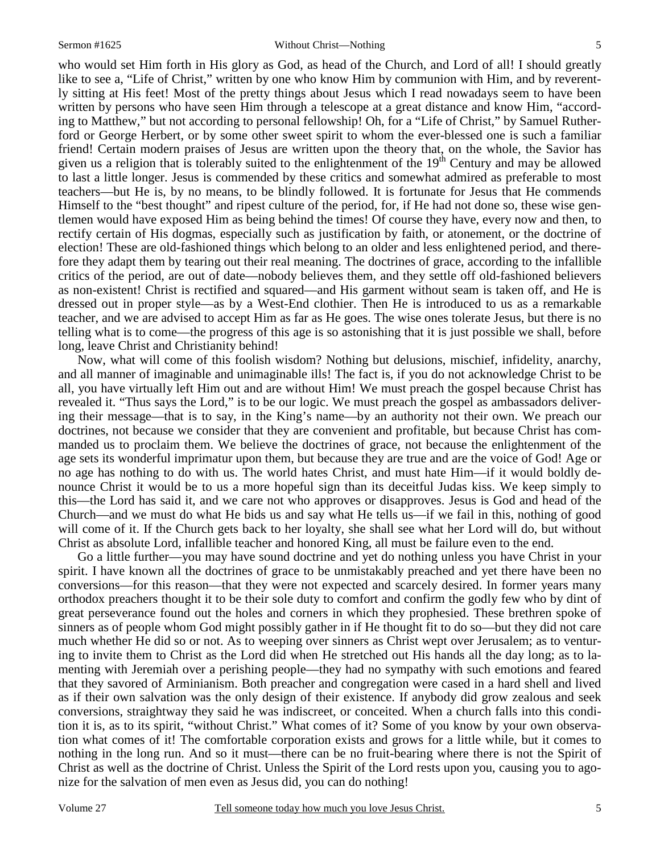who would set Him forth in His glory as God, as head of the Church, and Lord of all! I should greatly like to see a, "Life of Christ," written by one who know Him by communion with Him, and by reverently sitting at His feet! Most of the pretty things about Jesus which I read nowadays seem to have been written by persons who have seen Him through a telescope at a great distance and know Him, "according to Matthew," but not according to personal fellowship! Oh, for a "Life of Christ," by Samuel Rutherford or George Herbert, or by some other sweet spirit to whom the ever-blessed one is such a familiar friend! Certain modern praises of Jesus are written upon the theory that, on the whole, the Savior has given us a religion that is tolerably suited to the enlightenment of the  $19<sup>th</sup>$  Century and may be allowed to last a little longer. Jesus is commended by these critics and somewhat admired as preferable to most teachers—but He is, by no means, to be blindly followed. It is fortunate for Jesus that He commends Himself to the "best thought" and ripest culture of the period, for, if He had not done so, these wise gentlemen would have exposed Him as being behind the times! Of course they have, every now and then, to rectify certain of His dogmas, especially such as justification by faith, or atonement, or the doctrine of election! These are old-fashioned things which belong to an older and less enlightened period, and therefore they adapt them by tearing out their real meaning. The doctrines of grace, according to the infallible critics of the period, are out of date—nobody believes them, and they settle off old-fashioned believers as non-existent! Christ is rectified and squared—and His garment without seam is taken off, and He is dressed out in proper style—as by a West-End clothier. Then He is introduced to us as a remarkable teacher, and we are advised to accept Him as far as He goes. The wise ones tolerate Jesus, but there is no telling what is to come—the progress of this age is so astonishing that it is just possible we shall, before long, leave Christ and Christianity behind!

 Now, what will come of this foolish wisdom? Nothing but delusions, mischief, infidelity, anarchy, and all manner of imaginable and unimaginable ills! The fact is, if you do not acknowledge Christ to be all, you have virtually left Him out and are without Him! We must preach the gospel because Christ has revealed it. "Thus says the Lord," is to be our logic. We must preach the gospel as ambassadors delivering their message—that is to say, in the King's name—by an authority not their own. We preach our doctrines, not because we consider that they are convenient and profitable, but because Christ has commanded us to proclaim them. We believe the doctrines of grace, not because the enlightenment of the age sets its wonderful imprimatur upon them, but because they are true and are the voice of God! Age or no age has nothing to do with us. The world hates Christ, and must hate Him—if it would boldly denounce Christ it would be to us a more hopeful sign than its deceitful Judas kiss. We keep simply to this—the Lord has said it, and we care not who approves or disapproves. Jesus is God and head of the Church—and we must do what He bids us and say what He tells us—if we fail in this, nothing of good will come of it. If the Church gets back to her loyalty, she shall see what her Lord will do, but without Christ as absolute Lord, infallible teacher and honored King, all must be failure even to the end.

 Go a little further—you may have sound doctrine and yet do nothing unless you have Christ in your spirit. I have known all the doctrines of grace to be unmistakably preached and yet there have been no conversions—for this reason—that they were not expected and scarcely desired. In former years many orthodox preachers thought it to be their sole duty to comfort and confirm the godly few who by dint of great perseverance found out the holes and corners in which they prophesied. These brethren spoke of sinners as of people whom God might possibly gather in if He thought fit to do so—but they did not care much whether He did so or not. As to weeping over sinners as Christ wept over Jerusalem; as to venturing to invite them to Christ as the Lord did when He stretched out His hands all the day long; as to lamenting with Jeremiah over a perishing people—they had no sympathy with such emotions and feared that they savored of Arminianism. Both preacher and congregation were cased in a hard shell and lived as if their own salvation was the only design of their existence. If anybody did grow zealous and seek conversions, straightway they said he was indiscreet, or conceited. When a church falls into this condition it is, as to its spirit, "without Christ." What comes of it? Some of you know by your own observation what comes of it! The comfortable corporation exists and grows for a little while, but it comes to nothing in the long run. And so it must—there can be no fruit-bearing where there is not the Spirit of Christ as well as the doctrine of Christ. Unless the Spirit of the Lord rests upon you, causing you to agonize for the salvation of men even as Jesus did, you can do nothing!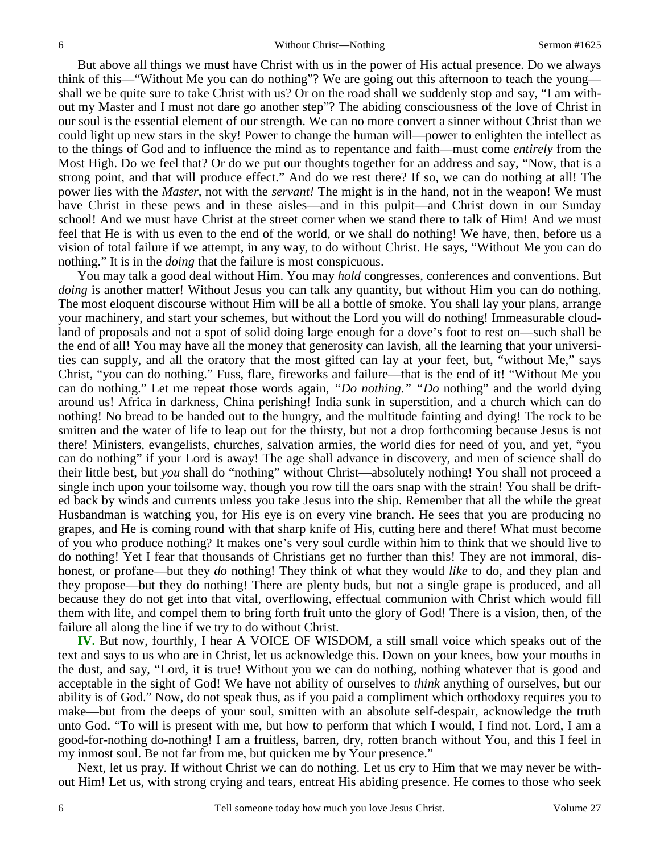But above all things we must have Christ with us in the power of His actual presence. Do we always think of this—"Without Me you can do nothing"? We are going out this afternoon to teach the young shall we be quite sure to take Christ with us? Or on the road shall we suddenly stop and say, "I am without my Master and I must not dare go another step"? The abiding consciousness of the love of Christ in our soul is the essential element of our strength. We can no more convert a sinner without Christ than we could light up new stars in the sky! Power to change the human will—power to enlighten the intellect as to the things of God and to influence the mind as to repentance and faith—must come *entirely* from the Most High. Do we feel that? Or do we put our thoughts together for an address and say, "Now, that is a strong point, and that will produce effect." And do we rest there? If so, we can do nothing at all! The power lies with the *Master,* not with the *servant!* The might is in the hand, not in the weapon! We must have Christ in these pews and in these aisles—and in this pulpit—and Christ down in our Sunday school! And we must have Christ at the street corner when we stand there to talk of Him! And we must feel that He is with us even to the end of the world, or we shall do nothing! We have, then, before us a vision of total failure if we attempt, in any way, to do without Christ. He says, "Without Me you can do nothing." It is in the *doing* that the failure is most conspicuous.

 You may talk a good deal without Him. You may *hold* congresses, conferences and conventions. But *doing* is another matter! Without Jesus you can talk any quantity, but without Him you can do nothing. The most eloquent discourse without Him will be all a bottle of smoke. You shall lay your plans, arrange your machinery, and start your schemes, but without the Lord you will do nothing! Immeasurable cloudland of proposals and not a spot of solid doing large enough for a dove's foot to rest on—such shall be the end of all! You may have all the money that generosity can lavish, all the learning that your universities can supply, and all the oratory that the most gifted can lay at your feet, but, "without Me," says Christ, "you can do nothing." Fuss, flare, fireworks and failure—that is the end of it! "Without Me you can do nothing." Let me repeat those words again, *"Do nothing." "Do* nothing" and the world dying around us! Africa in darkness, China perishing! India sunk in superstition, and a church which can do nothing! No bread to be handed out to the hungry, and the multitude fainting and dying! The rock to be smitten and the water of life to leap out for the thirsty, but not a drop forthcoming because Jesus is not there! Ministers, evangelists, churches, salvation armies, the world dies for need of you, and yet, "you can do nothing" if your Lord is away! The age shall advance in discovery, and men of science shall do their little best, but *you* shall do "nothing" without Christ—absolutely nothing! You shall not proceed a single inch upon your toilsome way, though you row till the oars snap with the strain! You shall be drifted back by winds and currents unless you take Jesus into the ship. Remember that all the while the great Husbandman is watching you, for His eye is on every vine branch. He sees that you are producing no grapes, and He is coming round with that sharp knife of His, cutting here and there! What must become of you who produce nothing? It makes one's very soul curdle within him to think that we should live to do nothing! Yet I fear that thousands of Christians get no further than this! They are not immoral, dishonest, or profane—but they *do* nothing! They think of what they would *like* to do, and they plan and they propose—but they do nothing! There are plenty buds, but not a single grape is produced, and all because they do not get into that vital, overflowing, effectual communion with Christ which would fill them with life, and compel them to bring forth fruit unto the glory of God! There is a vision, then, of the failure all along the line if we try to do without Christ.

**IV.** But now, fourthly, I hear A VOICE OF WISDOM, a still small voice which speaks out of the text and says to us who are in Christ, let us acknowledge this. Down on your knees, bow your mouths in the dust, and say, "Lord, it is true! Without you we can do nothing, nothing whatever that is good and acceptable in the sight of God! We have not ability of ourselves to *think* anything of ourselves, but our ability is of God." Now, do not speak thus, as if you paid a compliment which orthodoxy requires you to make—but from the deeps of your soul, smitten with an absolute self-despair, acknowledge the truth unto God. "To will is present with me, but how to perform that which I would, I find not. Lord, I am a good-for-nothing do-nothing! I am a fruitless, barren, dry, rotten branch without You, and this I feel in my inmost soul. Be not far from me, but quicken me by Your presence."

 Next, let us pray. If without Christ we can do nothing. Let us cry to Him that we may never be without Him! Let us, with strong crying and tears, entreat His abiding presence. He comes to those who seek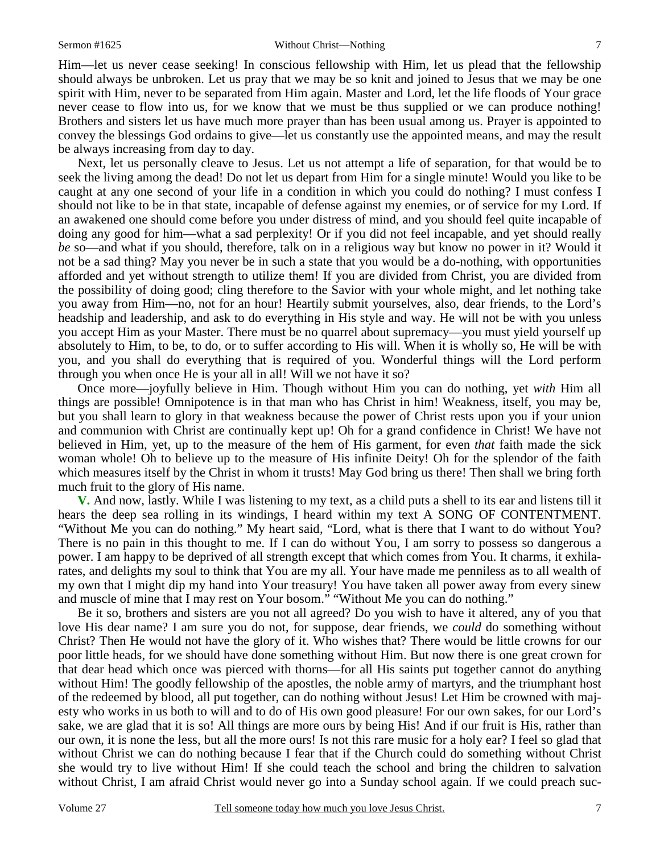Him—let us never cease seeking! In conscious fellowship with Him, let us plead that the fellowship should always be unbroken. Let us pray that we may be so knit and joined to Jesus that we may be one spirit with Him, never to be separated from Him again. Master and Lord, let the life floods of Your grace never cease to flow into us, for we know that we must be thus supplied or we can produce nothing! Brothers and sisters let us have much more prayer than has been usual among us. Prayer is appointed to convey the blessings God ordains to give—let us constantly use the appointed means, and may the result be always increasing from day to day.

 Next, let us personally cleave to Jesus. Let us not attempt a life of separation, for that would be to seek the living among the dead! Do not let us depart from Him for a single minute! Would you like to be caught at any one second of your life in a condition in which you could do nothing? I must confess I should not like to be in that state, incapable of defense against my enemies, or of service for my Lord. If an awakened one should come before you under distress of mind, and you should feel quite incapable of doing any good for him—what a sad perplexity! Or if you did not feel incapable, and yet should really *be* so—and what if you should, therefore, talk on in a religious way but know no power in it? Would it not be a sad thing? May you never be in such a state that you would be a do-nothing, with opportunities afforded and yet without strength to utilize them! If you are divided from Christ, you are divided from the possibility of doing good; cling therefore to the Savior with your whole might, and let nothing take you away from Him—no, not for an hour! Heartily submit yourselves, also, dear friends, to the Lord's headship and leadership, and ask to do everything in His style and way. He will not be with you unless you accept Him as your Master. There must be no quarrel about supremacy—you must yield yourself up absolutely to Him, to be, to do, or to suffer according to His will. When it is wholly so, He will be with you, and you shall do everything that is required of you. Wonderful things will the Lord perform through you when once He is your all in all! Will we not have it so?

 Once more—joyfully believe in Him. Though without Him you can do nothing, yet *with* Him all things are possible! Omnipotence is in that man who has Christ in him! Weakness, itself, you may be, but you shall learn to glory in that weakness because the power of Christ rests upon you if your union and communion with Christ are continually kept up! Oh for a grand confidence in Christ! We have not believed in Him, yet, up to the measure of the hem of His garment, for even *that* faith made the sick woman whole! Oh to believe up to the measure of His infinite Deity! Oh for the splendor of the faith which measures itself by the Christ in whom it trusts! May God bring us there! Then shall we bring forth much fruit to the glory of His name.

**V.** And now, lastly. While I was listening to my text, as a child puts a shell to its ear and listens till it hears the deep sea rolling in its windings, I heard within my text A SONG OF CONTENTMENT. "Without Me you can do nothing." My heart said, "Lord, what is there that I want to do without You? There is no pain in this thought to me. If I can do without You, I am sorry to possess so dangerous a power. I am happy to be deprived of all strength except that which comes from You. It charms, it exhilarates, and delights my soul to think that You are my all. Your have made me penniless as to all wealth of my own that I might dip my hand into Your treasury! You have taken all power away from every sinew and muscle of mine that I may rest on Your bosom." "Without Me you can do nothing."

 Be it so, brothers and sisters are you not all agreed? Do you wish to have it altered, any of you that love His dear name? I am sure you do not, for suppose, dear friends, we *could* do something without Christ? Then He would not have the glory of it. Who wishes that? There would be little crowns for our poor little heads, for we should have done something without Him. But now there is one great crown for that dear head which once was pierced with thorns—for all His saints put together cannot do anything without Him! The goodly fellowship of the apostles, the noble army of martyrs, and the triumphant host of the redeemed by blood, all put together, can do nothing without Jesus! Let Him be crowned with majesty who works in us both to will and to do of His own good pleasure! For our own sakes, for our Lord's sake, we are glad that it is so! All things are more ours by being His! And if our fruit is His, rather than our own, it is none the less, but all the more ours! Is not this rare music for a holy ear? I feel so glad that without Christ we can do nothing because I fear that if the Church could do something without Christ she would try to live without Him! If she could teach the school and bring the children to salvation without Christ, I am afraid Christ would never go into a Sunday school again. If we could preach suc